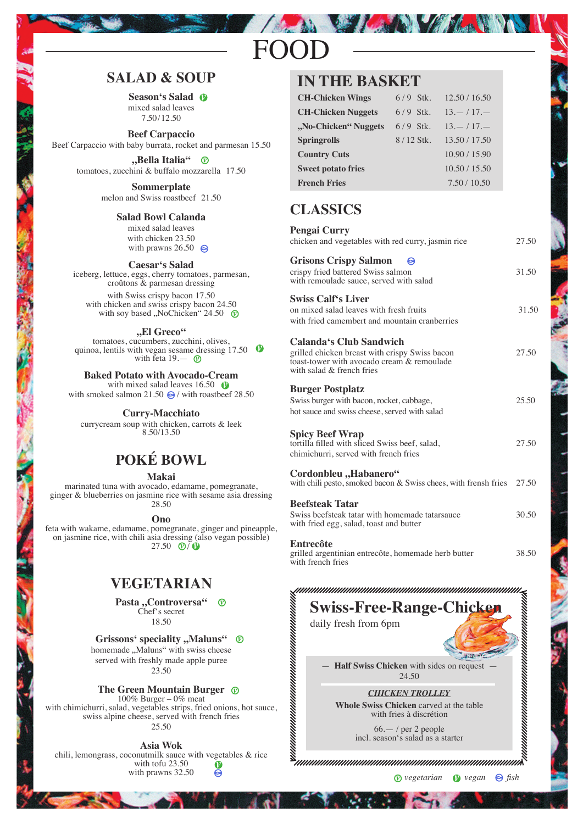# FOOD

# **SALAD & SOUP**

**Season's Salad** mixed salad leaves 7.50/12.50

**Beef Carpaccio** Beef Carpaccio with baby burrata, rocket and parmesan 15.50

> **"Bella Italia"** tomatoes, zucchini & buffalo mozzarella 17.50

> > **Sommerplate** melon and Swiss roastbeef 21.50

#### **Salad Bowl Calanda**

mixed salad leaves with chicken 23.50 with prawns  $26.50$ 

#### **Caesar's Salad**

iceberg, lettuce, eggs, cherry tomatoes, parmesan, croûtons & parmesan dressing with Swiss crispy bacon 17.50 with chicken and swiss crispy bacon 24.50 with soy based "NoChicken" 24.50  $\circledR$ 

**"El Greco"**

tomatoes, cucumbers, zucchini, olives, quinoa, lentils with vegan sesame dressing 17.50 with feta 19.—

#### **Baked Potato with Avocado-Cream**

with mixed salad leaves  $16.50 \quad \textcircled{b}$ with smoked salmon 21.50  $\bigcirc$  / with roastbeef 28.50

#### **Curry-Macchiato**

currycream soup with chicken, carrots & leek 8.50/13.50

# **POKÉ BOWL**

#### **Makai**

marinated tuna with avocado, edamame, pomegranate, ginger & blueberries on jasmine rice with sesame asia dressing 28.50

**Ono**

feta with wakame, edamame, pomegranate, ginger and pineapple, on jasmine rice, with chili asia dressing (also vegan possible) 27.50  $\circledR$ /

# **VEGETARIAN**

Pasta "Controversa"  $^{\circ}$ Chef's secret 18.50

#### **Grissons' speciality "Maluns"**  $\circledR$

homemade "Maluns" with swiss cheese served with freshly made apple puree 23.50

#### **The Green Mountain Burger**

100% Burger – 0% meat with chimichurri, salad, vegetables strips, fried onions, hot sauce, swiss alpine cheese, served with french fries 25.50

#### **Asia Wok**

chili, lemongrass, coconutmilk sauce with vegetables & rice with tofu 23.50  $\frac{1}{2}$ with prawns 32.50

### **IN THE BASKET**

| <b>CH-Chicken Wings</b>   | $6/9$ Stk.  | 12.50 / 16.50 |
|---------------------------|-------------|---------------|
| <b>CH-Chicken Nuggets</b> | $6/9$ Stk.  | $13 - 17 -$   |
| "No-Chicken" Nuggets      | $6/9$ Stk.  | $13 - 17 -$   |
| <b>Springrolls</b>        | $8/12$ Stk. | 13.50 / 17.50 |
| <b>Country Cuts</b>       |             | 10.90 / 15.90 |
| <b>Sweet potato fries</b> |             | 10.50 / 15.50 |
| <b>French Fries</b>       |             | 7.50/10.50    |

Marchan

# **CLASSICS**

| <b>Pengai Curry</b><br>chicken and vegetables with red curry, jasmin rice                                                                            | 27.50 |
|------------------------------------------------------------------------------------------------------------------------------------------------------|-------|
| <b>Grisons Crispy Salmon</b><br>crispy fried battered Swiss salmon<br>with remoulade sauce, served with salad                                        | 31.50 |
| <b>Swiss Calf's Liver</b><br>on mixed salad leaves with fresh fruits<br>with fried camembert and mountain cranberries                                | 31.50 |
| Calanda's Club Sandwich<br>grilled chicken breast with crispy Swiss bacon<br>toast-tower with avocado cream & remoulade<br>with salad & french fries | 27.50 |
| <b>Burger Postplatz</b><br>Swiss burger with bacon, rocket, cabbage,<br>hot sauce and swiss cheese, served with salad                                | 25.50 |
| <b>Spicy Beef Wrap</b><br>tortilla filled with sliced Swiss beef, salad,<br>chimichurri, served with french fries                                    | 27.50 |
| Cordonbleu "Habanero"<br>with chili pesto, smoked bacon & Swiss chees, with frensh fries                                                             | 27.50 |
| <b>Beefsteak Tatar</b><br>Swiss beefsteak tatar with homemade tatarsauce<br>with fried egg, salad, toast and butter                                  | 30.50 |
| Entrecôte<br>grilled argentinian entrecôte, homemade herb butter<br>with french fries                                                                | 38.50 |
| <b>Swiss-Free-Range-Chicken</b><br>daily fresh from 6pm                                                                                              |       |
| Half Swiss Chicken with sides on request<br>24.50                                                                                                    |       |
| <b>CHICKEN TROLLEY</b><br><b>Whole Swiss Chicken</b> carved at the table<br>with fries à discrétion                                                  |       |

66.— / per 2 people incl. season's salad as a starter

mmmm

 $\mathcal{S}_{\mu\nu\mu\nu\mu\nu\mu\nu\mu\nu\mu\nu\mu\nu\mu\nu\mu\nu\mu\mu\nu\mu\mu\nu\mu\nu\lambda}$ 

*vegetarian vegan fish*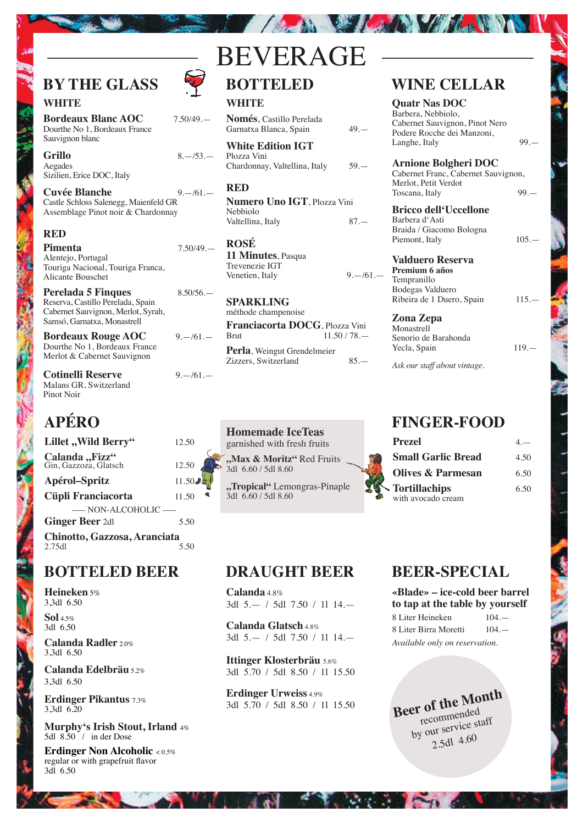# **BY THE GLASS**

### **WHITE**

**Bordeaux Blanc AOC** 7.50/49.— Dourthe No 1, Bordeaux France Sauvignon blanc

**Grillo** 8.—/53.— Aegades Sizilien, Erice DOC, Italy

**Cuvée Blanche** 9.—/61.— Castle Schloss Salenegg, Maienfeld GR Assemblage Pinot noir & Chardonnay

#### **RED**

**Pimenta** 7.50/49.— Alentejo, Portugal Touriga Nacional, Touriga Franca, Alicante Bouschet

**Perelada 5 Finques** 8.50/56. Reserva, Castillo Perelada, Spain Cabernet Sauvignon, Merlot, Syrah, Samsó, Garnatxa, Monastrell

**Bordeaux Rouge AOC** 9.—/61.— Dourthe No 1, Bordeaux France Merlot & Cabernet Sauvignon

**Cotinelli Reserve** 9.—/61.— Malans GR, Switzerland Pinot Noir

# **APÉRO**

**Lillet ,, Wild Berry"** 12.50 Calanda "Fizz" Gin, Gazzoza, Glatsch 12.50 **Apérol–Spritz** 11.50 **Cüpli Franciacorta** 11.50 ––– NON-ALCOHOLIC ––– **Ginger Beer** 2dl 5.50 **Chinotto, Gazzosa, Aranciata**

2.75dl 5.50

### **BOTTELED BEER**

**Heineken** 5% 3,3dl 6.50

**Sol** 4.5% 3dl 6.50

**Calanda Radler** 2.0% 3,3dl 6.50

**Calanda Edelbräu** 5.2% 3,3dl 6.50

**Erdinger Pikantus** 7.3% 3,3dl 6.20

**Murphy's Irish Stout, Irland** 4% 5dl 8.50 / in der Dose

**Erdinger Non Alcoholic** < 0.5% regular or with grapefruit flavor 3dl 6.50

# **BOTTELED** BEVERAGE

The big the state of the state of the state of

#### **WHITE**

**Només**, Castillo Perelada Garnatxa Blanca, Spain 49.—

**White Edition IGT** Plozza Vini Chardonnay, Valtellina, Italy 59.—

#### **RED**

**Numero Uno IGT**, Plozza Vini Nebbiolo Valtellina, Italy 87.—

**ROSÉ 11 Minutes**, Pasqua Trevenezie IGT Venetien, Italy  $9 - 61$ .

**SPARKLING** méthode champenoise **Franciacorta DOCG**, Plozza Vini<br>Rrut 11.50/78  $11.50 / 78.$ **Perla**, Weingut Grendelmeier Zizzers, Switzerland 85.—

**Homemade IceTeas** garnished with fresh fruits

**"Max & Moritz"** Red Fruits 3dl 6.60 / 5dl 8.60

**"Tropical"** Lemongras-Pinaple 3dl 6.60 / 5dl 8.60

# **WINE CELLAR**

**Quatr Nas DOC** Barbera, Nebbiolo, Cabernet Sauvignon, Pinot Nero Podere Rocche dei Manzoni, Langhe, Italy 99.

**Arnione Bolgheri DOC** Cabernet Franc, Cabernet Sauvignon, Merlot, Petit Verdot Toscana, Italy 99.

**Bricco dell'Uccellone** Barbera d'Asti Braida / Giacomo Bologna Piemont, Italy 105.

**Valduero Reserva Premium 6 años** Tempranillo Bodegas Valduero Ribeira de 1 Duero, Spain 115.

**Zona Zepa Monastrell** Senorio de Barahonda

Yecla, Spain 119.—

*Ask our staff about vintage.*

# **FINGER-FOOD**

| <b>Prezel</b>             | $4-$ |
|---------------------------|------|
| <b>Small Garlic Bread</b> | 4.50 |
| Olives & Parmesan         | 6.50 |
| <b>Tortillachips</b>      | 6.50 |
| with avocado cream        |      |

# **DRAUGHT BEER**

**Calanda** 4.8% 3dl 5.— / 5dl 7.50 / 1l 14.—

**Calanda Glatsch** 4.8% 3dl 5.— / 5dl 7.50 / 1l 14.—

**Ittinger Klosterbräu** 5.6% 3dl 5.70 / 5dl 8.50 / 1l 15.50

**Erdinger Urweiss** 4.9% 3dl 5.70 / 5dl 8.50 / 1l 15.50

**SIM** 

# **BEER-SPECIAL**

**«Blade» – ice-cold beer barrel to tap at the table by yourself**

| 8 Liter Heineken               | $104 -$ |
|--------------------------------|---------|
| 8 Liter Birra Moretti          | $104 -$ |
| Available only on reservation. |         |

**Beer of the Month** recommended by our service staff 2.5dl 4.60

**CONTRACTOR**